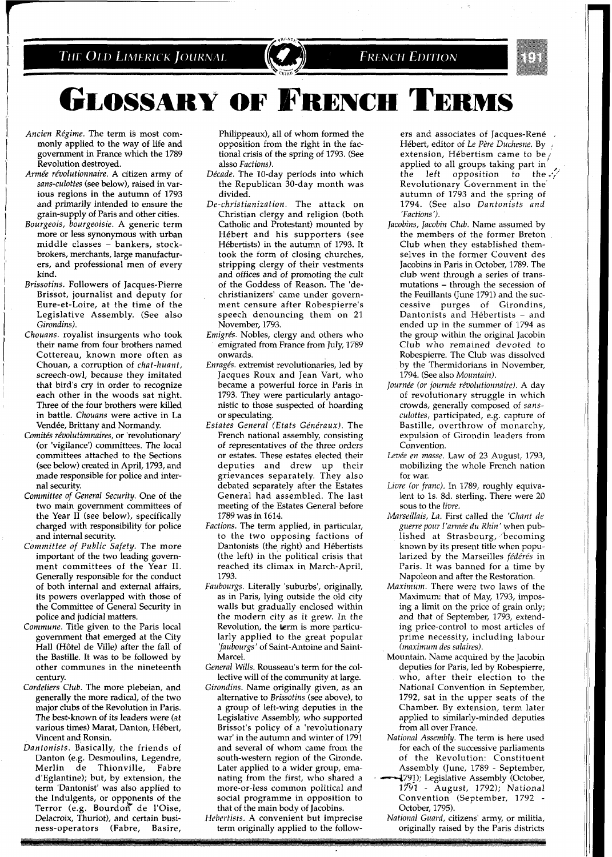## THE OLD LIMERICK JOURNAL

## **FRENCH EDITION**

**GLOSSARY OF FRENCH TERMS** 

- Ancien Régime. The term is most commonly applied to the way of life and government in France which the 1789 Revolution destroyed.
- Armée révolutionnaire. A citizen army of sans-culottes (see below), raised in various regions in the autumn of 1793 and primarily intended to ensure the grain-supply of Paris and other cities.
- Bourgeois, bourgeoisie. A generic term more or less synonymous with urban middle classes - bankers, stockbrokers, merchants, large manufacturers, and professional men of every kind.
- Brissotins. Followers of Jacques-Pierre Brissot, journalist and deputy for Eure-et-Loire, at the time of the Legislative Assembly. (See also Girondins).
- Chouans. royalist insurgents who took their name from four brothers named Cottereau, known more often as Chouan, a corruption of chat-huant, screech-owl, because they imitated that bird's cry in order to recognize each other in the woods sat night. Three of the four brothers were killed in battle. Chouans were active in La Vendée, Brittany and Normandy.
- Comités révolutionnaires, or 'revolutionary' (or 'vigilance') committees. The local committees attached to the Sections (see below) created in April, 1793, and made responsible for police and internal security.
- Committee of General Security. One of the two main government committees of the Year II (see below), specifically charged with responsibility for police and internal security.
- Committee of Public Safety. The more important of the two leading government committees of the Year 11. Generally responsible for the conduct of both internal and external affairs, its powers overlapped with those of the Committee of General Security in police and judicial matters.
- Commune. Title given to the Paris local government that emerged at the City Hall (Hôtel de Ville) after the fall of the Bastille. It was to be followed by other communes in the nineteenth century.
- Cordeliers Club. The more plebeian, and generally the more radical, of the two major clubs of the Revolution in Paris. The best-known of its leaders were (at various times) Marat, Danton, Hébert, Vincent and Ronsin.
- Dantonists. Basically, the friends of Danton (e.g. Desmoulins, Legendre, Merlin de Thionville, Fabre d'Eglantine); but, by extension, the term 'Dantonist' was also applied to the Indulgents, or opponents of the Terror (e.g. Bourdon de l'Oise, Delacroix, Thuriot), and certain business-operators (Fabre, Basire,

Philippeaux), all of whom formed the opposition from the right in the factional crisis of the spring of 1793. (See alsso Factions).

- Décade. The 10-day periods into which the Republican 30-day month was divided.
- De-christianization. The attack on Christian clergy and religion (both Catholic and Protestant) mounted by Hebert and his supporters (see Hébertists) in the autumn of 1793. It took the form of closing churches, stripping clergy of their vestments and offices and of promoting the cult of the Goddess of Reason. The 'dechristianizers' came under government censure after Robespierre's speech denouncing them on 21 November, 1793.
- Emigrés. Nobles, clergy and others who emigrated from France from July, 1789 onwards.
- Enragés. extremist revolutionaries, led by Jacques Roux and Jean Vart, who became a powerful force in Paris in 1793. They were particularly antagonistic to those suspected of hoarding or speculating.
- Estates General (Etats Généraux). The French national assembly, consisting of representatives of the three orders or estates. These estates elected their deputies and drew up their grievances separately. They also debated separately after the Estates General had assembled. The last meeting of the Estates General before 1789 was in 1614.
- Factions. The term applied, in particular, to the two opposing factions of Dantonists (the right) and Hebertists (the left) in the political crisis that reached its climax in March-April, 1793.
- Faubourgs. Literally 'suburbs', originally, as in Paris, lying outside the old city walls but gradually enclosed within the modern city as it grew. In the Revolution, the term is more particularly applied to the great popular 'faubourgs' of Saint-Antoine and Saint-Marcel.
- General Wills. Rousseau's term for the collective will of the community at large.
- Girondins. Name originally given, as an alternative to Brissotins (see above), to a group of left-wing deputies in the Legislative Assembly, who supported Brissot's policy of a 'revolutionary war' in the autumn and winter of 1791 and several of whom came from the south-western region of the Gironde. Later applied to a wider group, emanating from the first, who shared a more-or-less common political and social programme in opposition to that of the main body of Jacobins.

Hebertists. A convenient but imprecise term originally applied to the follow-

ers and associates of Jacques-René Hébert, editor of Le Père Duchesne. By extension, Hébertism came to be, applied to all groups taking part in the left opposition to the  $\sqrt{\frac{1}{2}}$ Revolutionary Government in the autumn of 1793 and the spring of 1794. (See also Dantonists and 'Factions ').

- Jacobins, Jacobin Club. Name assumed by the members of the former Breton Club when they established themselves in the former Couvent des Jacobins in Paris in October, 1789. The club went through a series of transmutations - through the secession of the Feuillants (June 1791) and the successive purges of Girondins, Dantonists and Hébertists - and ended up in the summer of 1794 as the group within the original Jacobin Club who remained devoted to Robespierre. The Club was dissolved by the Thermidorians in November, 1794. (See also Mountain).
- Journée (or journée révolutionnaire). A day of revolutionary struggle in which crowds, generally composed of sansculottes, participated, e.g. capture of Bastille, overthrow of monarchy, expulsion of Girondin leaders from Convention.
- Levée en masse. Law of 23 August, 1793, mobilizing the whole French nation for war.
- Livre (or franc). In 1789, roughly equivalent to Is. 8d. sterling. There were 20 sous to the livre.
- Marseillais, La. First called the 'Chant de guerre pour l'armée du Rhin' when published at Strasbourg, becoming known by its present title when popularized by the Marseilles fédérés in Paris. It was banned for a time by Napoleon and after the Restoration.
- Maximum. There were two laws of the Maximum: that of May, 1793, imposing a limit on the price of grain only; and that of September, 1793, extending price-control to most articles of prime necessity, including labour (maximum des salaires).
- Mountain. Name acquired by the Jacobin deputies for Paris, led by Robespierre, who, after their election to the National Convention in September, 1792, sat in the upper seats of the Chamber. By extension, term later applied to similarly-minded deputies from all over France.
- National Assembly. The term is here used for each of the successive parliaments of the Revolution: Constituent Assembly (June, 1789 - September, -791); Legislative Assembly (October, 1731 - August, 1792); National Convention (September, 1792 October, 1795).
- National Guard, citizens' army, or militia, originally raised by the Paris districts